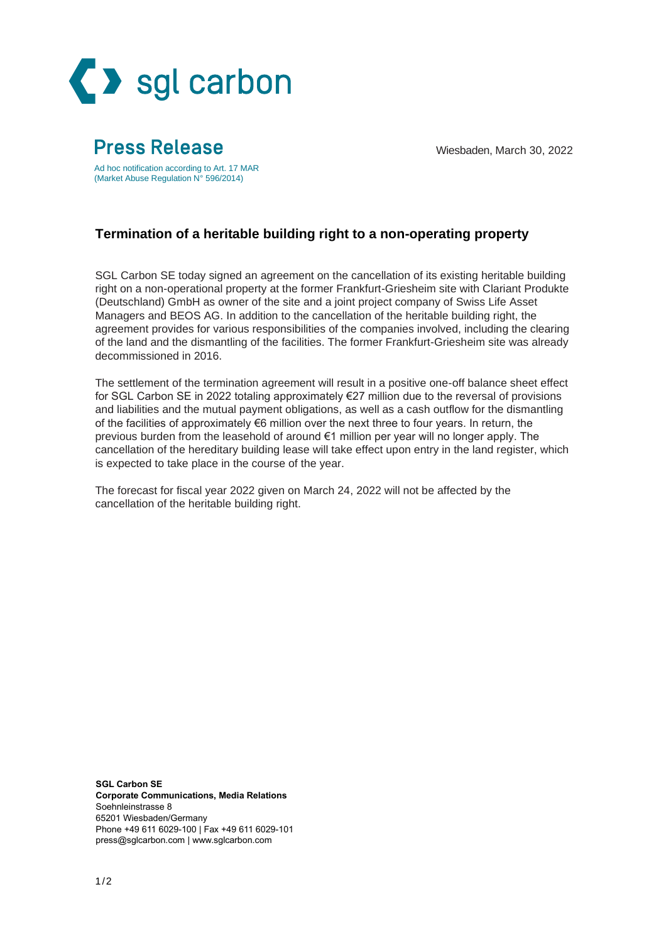

## Wiesbaden, March 30, 2022

Ad hoc notification according to Art. 17 MAR (Market Abuse Regulation N° 596/2014)

**Press Release** 

## **Termination of a heritable building right to a non-operating property**

SGL Carbon SE today signed an agreement on the cancellation of its existing heritable building right on a non-operational property at the former Frankfurt-Griesheim site with Clariant Produkte (Deutschland) GmbH as owner of the site and a joint project company of Swiss Life Asset Managers and BEOS AG. In addition to the cancellation of the heritable building right, the agreement provides for various responsibilities of the companies involved, including the clearing of the land and the dismantling of the facilities. The former Frankfurt-Griesheim site was already decommissioned in 2016.

The settlement of the termination agreement will result in a positive one-off balance sheet effect for SGL Carbon SE in 2022 totaling approximately €27 million due to the reversal of provisions and liabilities and the mutual payment obligations, as well as a cash outflow for the dismantling of the facilities of approximately €6 million over the next three to four years. In return, the previous burden from the leasehold of around €1 million per year will no longer apply. The cancellation of the hereditary building lease will take effect upon entry in the land register, which is expected to take place in the course of the year.

The forecast for fiscal year 2022 given on March 24, 2022 will not be affected by the cancellation of the heritable building right.

**SGL Carbon SE Corporate Communications, Media Relations** Soehnleinstrasse 8 65201 Wiesbaden/Germany Phone +49 611 6029-100 | Fax +49 611 6029-101 [press@sglcarbon.com](mailto:press@sglcarbon.com) | [www.sglcarbon.com](http://www.sglcarbon.com/)